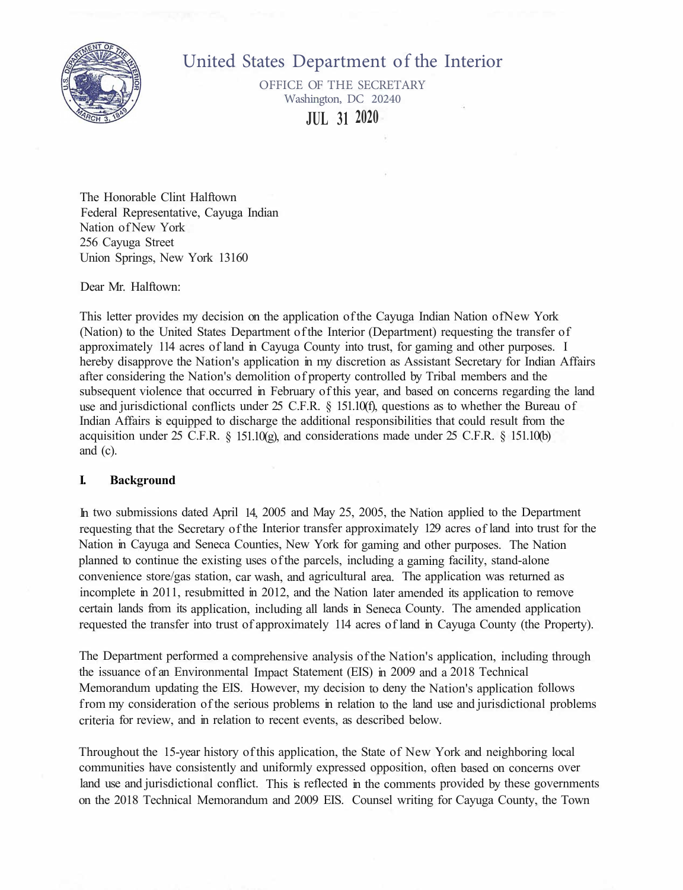

# United States Department of the Interior

OFFICE OF THE SECRETARY Washington, DC 20240 **JUL 31 2020** 

The Honorable Clint Halftown Federal Representative, Cayuga Indian Nation of New York 256 Cayuga Street Union Springs, New York 13160

#### Dear Mr. Halftown:

This letter provides my decision on the application of the Cayuga Indian Nation ofNew York (Nation) to the United States Department of the Interior (Department) requesting the transfer of approximately 114 acres of land in Cayuga County into trust, for gaming and other purposes. I hereby disapprove the Nation's application in my discretion as Assistant Secretary for Indian Affairs after considering the Nation's demolition of property controlled by Tribal members and the subsequent violence that occurred in February of this year, and based on concerns regarding the land use and jurisdictional conflicts under 25 C.F.R. § 151.10(f), questions as to whether the Bureau of Indian Affairs is equipped to discharge the additional responsibilities that could result from the acquisition under 25 C.F.R.  $\&$  151.10(g), and considerations made under 25 C.F.R.  $\&$  151.10(b) and (c).

#### **I. Background**

In two submissions dated April 14, 2005 and May 25, 2005, the Nation applied to the Department requesting that the Secretary of the Interior transfer approximately 129 acres of land into trust for the Nation in Cayuga and Seneca Counties, New York for gaming and other purposes. The Nation planned to continue the existing uses of the parcels, including a gaming facility, stand-alone convenience store/gas station, car wash, and agricultural area. The application was returned as incomplete in 2011, resubmitted in 2012, and the Nation later amended its application to remove certain lands from its application, including all lands in Seneca County. The amended application requested the transfer into trust of approximately 114 acres of land in Cayuga County (the Property).

The Department performed a comprehensive analysis of the Nation's application, including through the issuance of an Environmental Impact Statement (EIS) in 2009 and a 2018 Technical Memorandum updating the EIS. However, my decision to deny the Nation's application follows from my consideration of the serious problems in relation to the land use and jurisdictional problems criteria for review, and in relation to recent events, as described below.

Throughout the 15-year history of this application, the State of New York and neighboring local communities have consistently and uniformly expressed opposition, often based on concerns over land use and jurisdictional conflict. This is reflected in the comments provided by these governments on the 2018 Technical Memorandum and 2009 EIS. Counsel writing for Cayuga County, the Town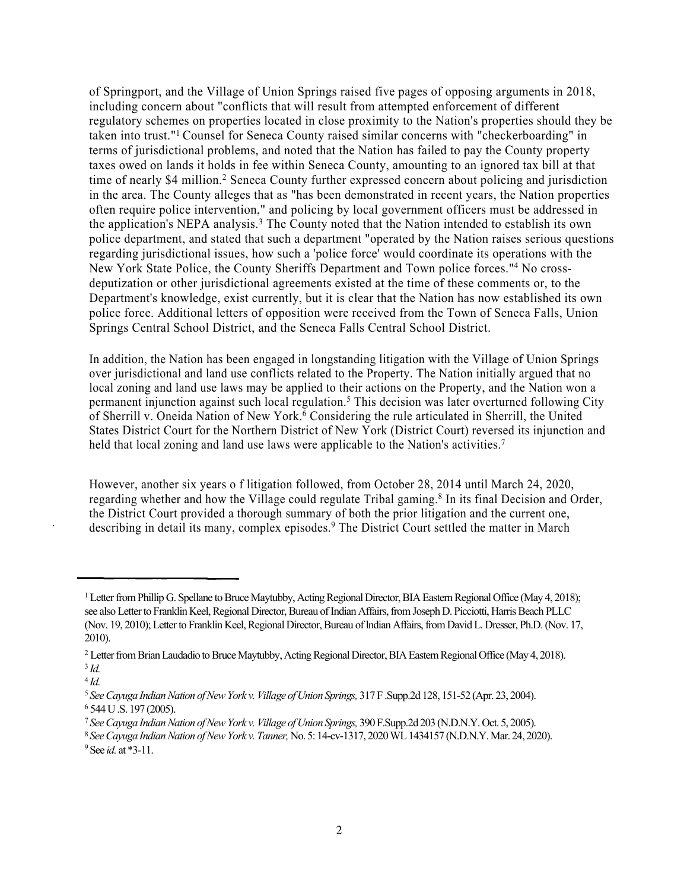of Springport, and the Village of Union Springs raised five pages of opposing arguments in 2018, including concern about "conflicts that will result from attempted enforcement of different regulatory schemes on properties located in close proximity to the Nation's properties should they be taken into trust."<sup>1</sup> Counsel for Seneca County raised similar concerns with "checkerboarding" in terms of jurisdictional problems, and noted that the Nation has failed to pay the County property taxes owed on lands it holds in fee within Seneca County, amounting to an ignored tax bill at that time of nearly \$4 million.<sup>2</sup> Seneca County further expressed concern about policing and jurisdiction in the area. The County alleges that as "has been demonstrated in recent years, the Nation properties often require police intervention," and policing by local government officers must be addressed in the application's NEPA analysis.<sup>3</sup> The County noted that the Nation intended to establish its own police department, and stated that such a department "operated by the Nation raises serious questions regarding jurisdictional issues, how such a 'police force' would coordinate its operations with the New York State Police, the County Sheriffs Department and Town police forces."<sup>4</sup> No crossdeputization or other jurisdictional agreements existed at the time of these comments or, to the Department's knowledge, exist currently, but it is clear that the Nation has now established its own police force. Additional letters of opposition were received from the Town of Seneca Falls, Union Springs Central School District, and the Seneca Falls Central School District.

In addition, the Nation has been engaged in longstanding litigation with the Village of Union Springs over jurisdictional and land use conflicts related to the Property. The Nation initially argued that no local zoning and land use laws may be applied to their actions on the Property, and the Nation won a permanent injunction against such local regulation.<sup>5</sup> This decision was later overturned following City of Sherrill v. Oneida Nation of New York.<sup>6</sup> Considering the rule articulated in Sherrill, the United States District Court for the Northern District of New York (District Court) reversed its injunction and held that local zoning and land use laws were applicable to the Nation's activities.<sup>7</sup>

However, another six years o f litigation followed, from October 28, 2014 until March 24, 2020, regarding whether and how the Village could regulate Tribal gaming.<sup>8</sup> In its final Decision and Order, the District Court provided a thorough summary of both the prior litigation and the current one, describing in detail its many, complex episodes.<sup>9</sup> The District Court settled the matter in March

<sup>&</sup>lt;sup>1</sup> Letter from Phillip G. Spellane to Bruce Maytubby, Acting Regional Director, BIA Eastern Regional Office (May 4, 2018); see also Letter to Franklin Keel, Regional Director, Bureau of Indian Affairs, from Joseph D. Picciotti, Harris Beach PLLC (Nov. 19, 2010); Letter to Franklin Keel, Regional Director, Bureau of lndian Affairs, from David L. Dresser, Ph.D. (Nov. 17, 2010).

<sup>&</sup>lt;sup>2</sup> Letter from Brian Laudadio to Bruce Maytubby, Acting Regional Director, BIA Eastern Regional Office (May 4, 2018). 3 *Id.*

<sup>4</sup> *Id.* 

<sup>5</sup> *SeeCayuga IndianNation ofNewYork v.Village ofUnion Springs,* 317F.Supp.2d 128, 151-52 (Apr. 23, 2004). <sup>6</sup> 544U.S. 197 (2005).

<sup>7</sup> *SeeCayuga IndianNation ofNewYork v.Village ofUnion Springs,* 390F.Supp.2d 203 (N.D.N.Y.Oct. 5, 2005).

<sup>8</sup> *SeeCayuga IndianNation ofNewYork v.Tanner,*No. 5: 14-cv-1317, 2020WL1434157 (N.D.N.Y.Mar. 24, 2020). <sup>9</sup>See *id.* at \*3-11.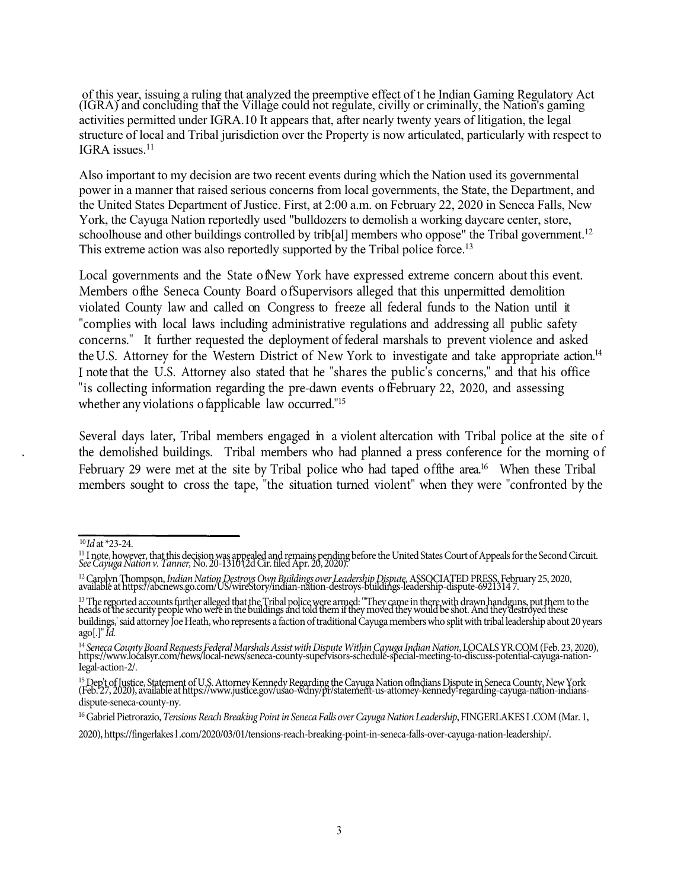of this year, issuing a ruling that analyzed the preemptive effect of t he Indian Gaming Regulatory Act (IGRA) and concluding that the Village could not regulate, civilly or criminally, the Nation's gaming activities permitted under IGRA.10 It appears that, after nearly twenty years of litigation, the legal structure of local and Tribal jurisdiction over the Property is now articulated, particularly with respect to IGRA issues.<sup>11</sup>

Also important to my decision are two recent events during which the Nation used its governmental power in a manner that raised serious concerns from local governments, the State, the Department, and the United States Department of Justice. First, at 2:00 a.m. on February 22, 2020 in Seneca Falls, New York, the Cayuga Nation reportedly used "bulldozers to demolish a working daycare center, store, schoolhouse and other buildings controlled by trib[al] members who oppose" the Tribal government.<sup>12</sup> This extreme action was also reportedly supported by the Tribal police force.<sup>13</sup>

Local governments and the State ofNew York have expressed extreme concern about this event. Members ofthe Seneca County Board ofSupervisors alleged that this unpermitted demolition violated County law and called on Congress to freeze all federal funds to the Nation until it "complies with local laws including administrative regulations and addressing all public safety concerns." It further requested the deployment of federal marshals to prevent violence and asked the U.S. Attorney for the Western District of New York to investigate and take appropriate action.<sup>14</sup> I note that the U.S. Attorney also stated that he "shares the public's concerns," and that his office "is collecting information regarding the pre-dawn events ofFebruary 22, 2020, and assessing whether any violations of applicable law occurred."<sup>15</sup>

Several days later, Tribal members engaged in a violent altercation with Tribal police at the site of the demolished buildings. Tribal members who had planned a press conference for the morning of February 29 were met at the site by Tribal police who had taped of the area.<sup>16</sup> When these Tribal members sought to cross the tape, "the situation turned violent" when they were "confronted by the

<sup>10</sup>*Id* at \*23-24.

<sup>&</sup>lt;sup>11</sup> I note, however, that this decision was appealed and remains pending before the United States Court of Appeals for the Second Circuit.<br>*See Cayuga Nation v. Tanner*, No. 20-1310 (2d Cir. filed Apr. 20, 2020).

<sup>&</sup>lt;sup>12</sup> Carolyn Thompson, *Indian Nation Destroys Own Buildings over Leadership Dispute*, ASSOCIATED PRESS, February 25, 2020, available at https://abcnews.go.com/US/wireStory/indian-nation-destroys-buildings-leadership-dispu

<sup>&</sup>lt;sup>13</sup> The reported accounts further alleged that the Tribal police were armed: "They came in there with drawn handguns, put them to the<br>heads of the security people who were in the buildings and told them if they moved they buildings,' said attorney Joe Heath, who represents a faction of traditional Cayuga members who split with tribal leadership about 20 years ago[.]"*Id.*

<sup>&</sup>lt;sup>14</sup> Seneca County Board Requests Federal Marshals Assist with Dispute Within Cayuga Indian Nation, LOCALS YR.COM (Feb. 23, 2020), https://www.localsyr.com/news/local-news/seneca-county-supervisors-schedule-special-meeting Iegal-action-2/.

<sup>&</sup>lt;sup>15</sup> Dep't of Justice, Statement of U.S. Attorney Kennedy Regarding the Cayuga Nation of Indians Dispute in Seneca County, New York (Feb. 27, 2020), available at https://www.justice.gov/usao-wdny/pr/statement-us-attomey-ke dispute-seneca-county-ny.

<sup>&</sup>lt;sup>16</sup> Gabriel Pietrorazio, Tensions Reach Breaking Point in Seneca Falls over Cayuga Nation Leadership, FINGERLAKES I.COM (Mar. 1,

<sup>2020),</sup>https://fingerlakesl .com/2020/03/01/tensions-reach-breaking-point-in-seneca-falls-over-cayuga-nation-leadership/.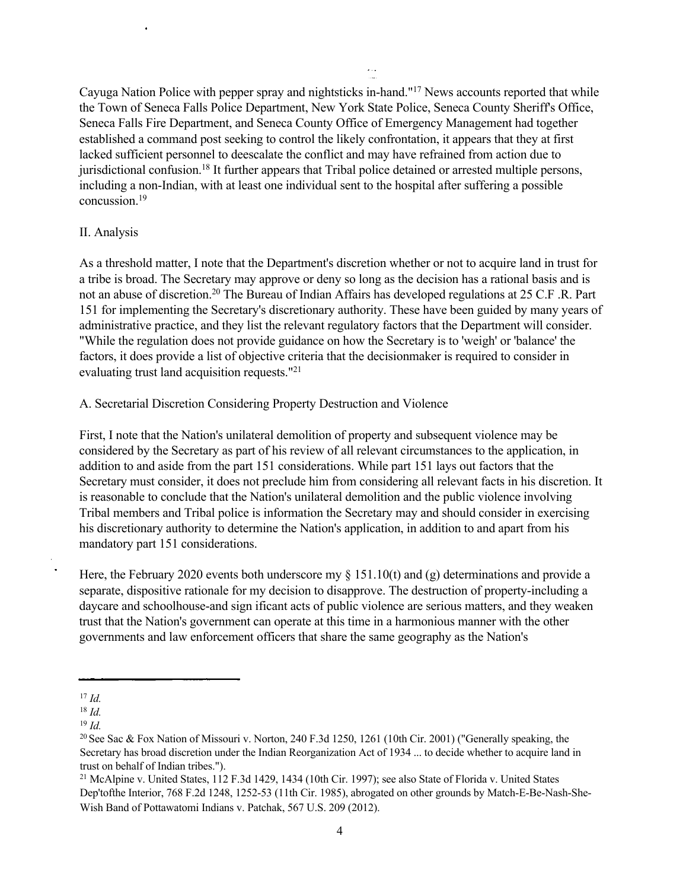Cayuga Nation Police with pepper spray and nightsticks in-hand."<sup>17</sup> News accounts reported that while the Town of Seneca Falls Police Department, New York State Police, Seneca County Sheriff's Office, Seneca Falls Fire Department, and Seneca County Office of Emergency Management had together established a command post seeking to control the likely confrontation, it appears that they at first lacked sufficient personnel to deescalate the conflict and may have refrained from action due to jurisdictional confusion.<sup>18</sup> It further appears that Tribal police detained or arrested multiple persons, including a non-Indian, with at least one individual sent to the hospital after suffering a possible concussion.<sup>19</sup>

#### II. Analysis

As a threshold matter, I note that the Department's discretion whether or not to acquire land in trust for a tribe is broad. The Secretary may approve or deny so long as the decision has a rational basis and is not an abuse of discretion.<sup>20</sup> The Bureau of Indian Affairs has developed regulations at 25 C.F .R. Part 151 for implementing the Secretary's discretionary authority. These have been guided by many years of administrative practice, and they list the relevant regulatory factors that the Department will consider. "While the regulation does not provide guidance on how the Secretary is to 'weigh' or 'balance' the factors, it does provide a list of objective criteria that the decisionmaker is required to consider in evaluating trust land acquisition requests."<sup>21</sup>

A. Secretarial Discretion Considering Property Destruction and Violence

First, I note that the Nation's unilateral demolition of property and subsequent violence may be considered by the Secretary as part of his review of all relevant circumstances to the application, in addition to and aside from the part 151 considerations. While part 151 lays out factors that the Secretary must consider, it does not preclude him from considering all relevant facts in his discretion. It is reasonable to conclude that the Nation's unilateral demolition and the public violence involving Tribal members and Tribal police is information the Secretary may and should consider in exercising his discretionary authority to determine the Nation's application, in addition to and apart from his mandatory part 151 considerations.

Here, the February 2020 events both underscore my § 151.10(t) and (g) determinations and provide a separate, dispositive rationale for my decision to disapprove. The destruction of property-including a daycare and schoolhouse-and sign ificant acts of public violence are serious matters, and they weaken trust that the Nation's government can operate at this time in a harmonious manner with the other governments and law enforcement officers that share the same geography as the Nation's

<sup>17</sup> *Id.*

<sup>18</sup> *Id.*

<sup>19</sup> *Id.*

<sup>&</sup>lt;sup>20</sup> See Sac & Fox Nation of Missouri v. Norton, 240 F.3d 1250, 1261 (10th Cir. 2001) ("Generally speaking, the Secretary has broad discretion under the Indian Reorganization Act of 1934 ... to decide whether to acquire land in trust on behalf of Indian tribes.").

<sup>21</sup> McAlpine v. United States, 112 F.3d 1429, 1434 (10th Cir. 1997); see also State of Florida v. United States Dep'tofthe Interior, 768 F.2d 1248, 1252-53 (11th Cir. 1985), abrogated on other grounds by Match-E-Be-Nash-She-Wish Band of Pottawatomi Indians v. Patchak, 567 U.S. 209 (2012).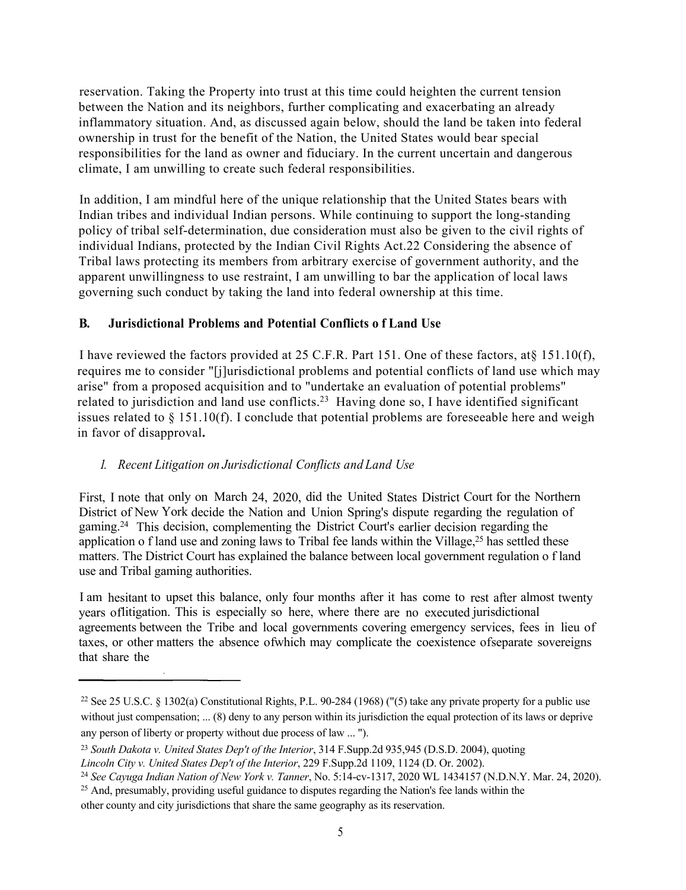reservation. Taking the Property into trust at this time could heighten the current tension between the Nation and its neighbors, further complicating and exacerbating an already inflammatory situation. And, as discussed again below, should the land be taken into federal ownership in trust for the benefit of the Nation, the United States would bear special responsibilities for the land as owner and fiduciary. In the current uncertain and dangerous climate, I am unwilling to create such federal responsibilities.

In addition, I am mindful here of the unique relationship that the United States bears with Indian tribes and individual Indian persons. While continuing to support the long-standing policy of tribal self-determination, due consideration must also be given to the civil rights of individual Indians, protected by the Indian Civil Rights Act.22 Considering the absence of Tribal laws protecting its members from arbitrary exercise of government authority, and the apparent unwillingness to use restraint, I am unwilling to bar the application of local laws governing such conduct by taking the land into federal ownership at this time.

### **B. Jurisdictional Problems and Potential Conflicts o f Land Use**

I have reviewed the factors provided at 25 C.F.R. Part 151. One of these factors, at§ 151.10(f), requires me to consider "[j]urisdictional problems and potential conflicts of land use which may arise" from a proposed acquisition and to "undertake an evaluation of potential problems" related to jurisdiction and land use conflicts.<sup>23</sup> Having done so, I have identified significant issues related to § 151.10(f). I conclude that potential problems are foreseeable here and weigh in favor of disapproval**.**

# *1. Recent Litigation on Jurisdictional Conflicts and Land Use*

First, I note that only on March 24, 2020, did the United States District Court for the Northern District of New York decide the Nation and Union Spring's dispute regarding the regulation of gaming.<sup>24</sup> This decision, complementing the District Court's earlier decision regarding the application o f land use and zoning laws to Tribal fee lands within the Village,<sup>25</sup> has settled these matters. The District Court has explained the balance between local government regulation o f land use and Tribal gaming authorities.

I am hesitant to upset this balance, only four months after it has come to rest after almost twenty years oflitigation. This is especially so here, where there are no executed jurisdictional agreements between the Tribe and local governments covering emergency services, fees in lieu of taxes, or other matters the absence ofwhich may complicate the coexistence ofseparate sovereigns that share the

<sup>&</sup>lt;sup>22</sup> See 25 U.S.C. § 1302(a) Constitutional Rights, P.L. 90-284 (1968) ("(5) take any private property for a public use without just compensation; ... (8) deny to any person within its jurisdiction the equal protection of its laws or deprive any person of liberty or property without due process of law ... ").

<sup>23</sup> *South Dakota v. United States Dep't of the Interior*, 314 F.Supp.2d 935,945 (D.S.D. 2004), quoting *Lincoln City v. United States Dep't of the Interior*, 229 F.Supp.2d 1109, 1124 (D. Or. 2002).

<sup>24</sup> *See Cayuga Indian Nation of New York v. Tanner*, No. 5:14-cv-1317, 2020 WL 1434157 (N.D.N.Y. Mar. 24, 2020).

<sup>&</sup>lt;sup>25</sup> And, presumably, providing useful guidance to disputes regarding the Nation's fee lands within the other county and city jurisdictions that share the same geography as its reservation.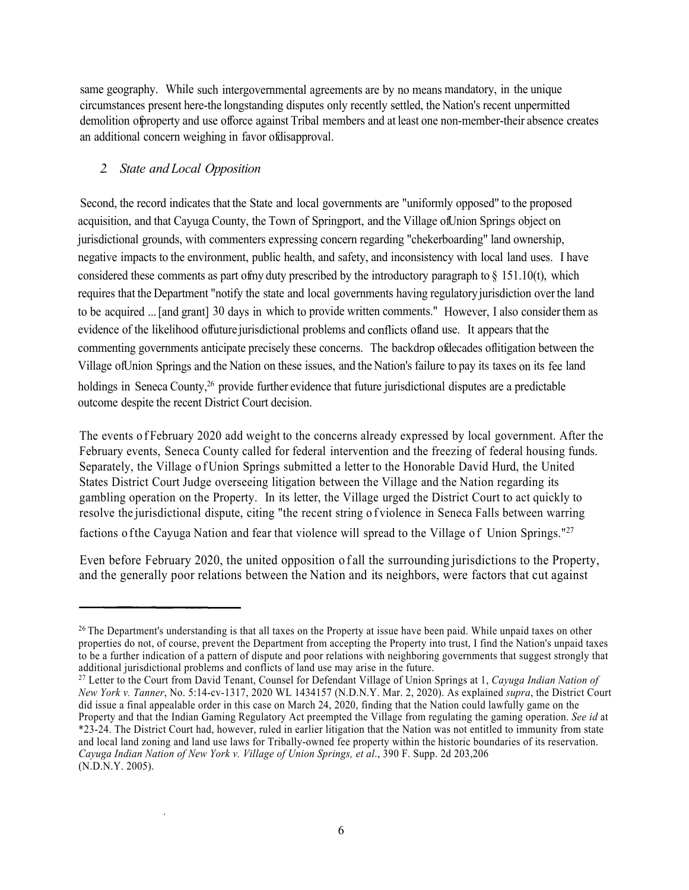same geography. While such intergovernmental agreements are by no means mandatory, in the unique circumstances present here-the longstanding disputes only recently settled, the Nation's recent unpermitted demolition of property and use offorce against Tribal members and at least one non-member-their absence creates an additional concern weighing in favor of disapproval.

## *2. State and Local Opposition*

Second, the record indicates that the State and local governments are "uniformly opposed" to the proposed acquisition, and that Cayuga County, the Town of Springport, and the Village of Union Springs object on jurisdictional grounds, with commenters expressing concern regarding "chekerboarding" land ownership, negative impacts to the environment, public health, and safety, and inconsistency with local land uses. I have considered these comments as part of my duty prescribed by the introductory paragraph to  $\S$  151.10(t), which requires that the Department "notify the state and local governments having regulatory jurisdiction over the land to be acquired ... [and grant] 30 days in which to provide written comments." However, I also consider them as evidence of the likelihood offuture jurisdictional problems and conflicts of land use. It appears that the commenting governments anticipate precisely these concerns. The backdrop of decades of litigation between the Village of Union Springs and the Nation on these issues, and the Nation's failure to pay its taxes on its fee land holdings in Seneca County,<sup>26</sup> provide further evidence that future jurisdictional disputes are a predictable outcome despite the recent District Court decision.

The events of February 2020 add weight to the concerns already expressed by local government. After the February events, Seneca County called for federal intervention and the freezing of federal housing funds. Separately, the Village of Union Springs submitted a letter to the Honorable David Hurd, the United States District Court Judge overseeing litigation between the Village and the Nation regarding its gambling operation on the Property. In its letter, the Village urged the District Court to act quickly to resolve the jurisdictional dispute, citing "the recent string of violence in Seneca Falls between warring factions of the Cayuga Nation and fear that violence will spread to the Village of Union Springs."<sup>27</sup>

Even before February 2020, the united opposition of all the surrounding jurisdictions to the Property, and the generally poor relations between the Nation and its neighbors, were factors that cut against

 $26$  The Department's understanding is that all taxes on the Property at issue have been paid. While unpaid taxes on other properties do not, of course, prevent the Department from accepting the Property into trust, I find the Nation's unpaid taxes to be a further indication of a pattern of dispute and poor relations with neighboring governments that suggest strongly that additional jurisdictional problems and conflicts of land use may arise in the future.

<sup>27</sup> Letter to the Court from David Tenant, Counsel for Defendant Village of Union Springs at 1, *Cayuga Indian Nation of New York v. Tanner*, No. 5:14-cv-1317, 2020 WL 1434157 (N.D.N.Y. Mar. 2, 2020). As explained *supra*, the District Court did issue a final appealable order in this case on March 24, 2020, finding that the Nation could lawfully game on the Property and that the Indian Gaming Regulatory Act preempted the Village from regulating the gaming operation. *See id* at \*23-24. The District Court had, however, ruled in earlier litigation that the Nation was not entitled to immunity from state and local land zoning and land use laws for Tribally-owned fee property within the historic boundaries of its reservation. *Cayuga Indian Nation of New York v. Village of Union Springs, et al*., 390 F. Supp. 2d 203,206 (N.D.N.Y. 2005).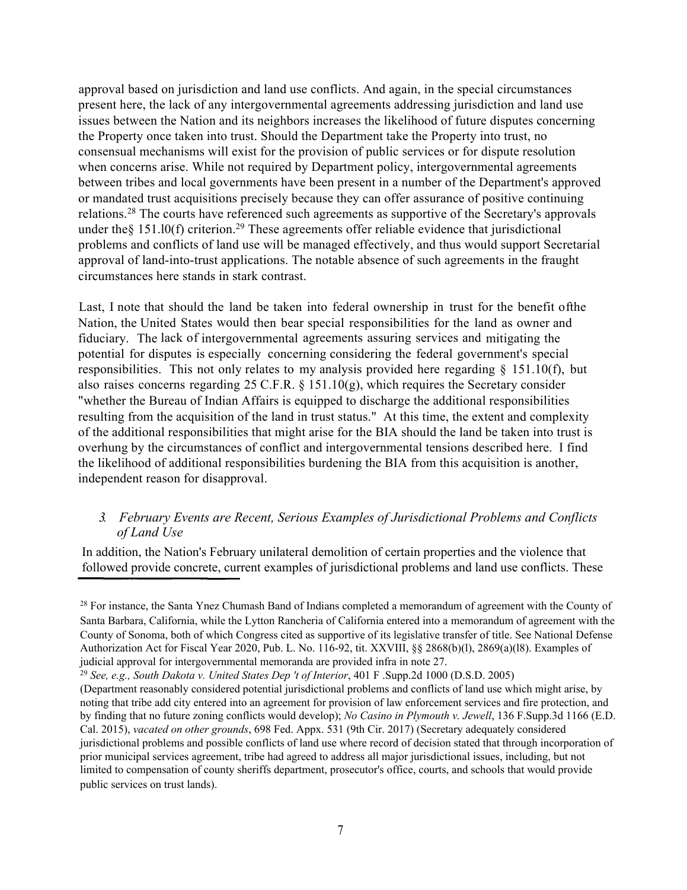approval based on jurisdiction and land use conflicts. And again, in the special circumstances present here, the lack of any intergovernmental agreements addressing jurisdiction and land use issues between the Nation and its neighbors increases the likelihood of future disputes concerning the Property once taken into trust. Should the Department take the Property into trust, no consensual mechanisms will exist for the provision of public services or for dispute resolution when concerns arise. While not required by Department policy, intergovernmental agreements between tribes and local governments have been present in a number of the Department's approved or mandated trust acquisitions precisely because they can offer assurance of positive continuing relations.<sup>28</sup> The courts have referenced such agreements as supportive of the Secretary's approvals under the  $§$  151.10(f) criterion.<sup>29</sup> These agreements offer reliable evidence that jurisdictional problems and conflicts of land use will be managed effectively, and thus would support Secretarial approval of land-into-trust applications. The notable absence of such agreements in the fraught circumstances here stands in stark contrast.

Last, I note that should the land be taken into federal ownership in trust for the benefit ofthe Nation, the United States would then bear special responsibilities for the land as owner and fiduciary. The lack of intergovernmental agreements assuring services and mitigating the potential for disputes is especially concerning considering the federal government's special responsibilities. This not only relates to my analysis provided here regarding § 151.10(f), but also raises concerns regarding 25 C.F.R.  $\S$  151.10(g), which requires the Secretary consider "whether the Bureau of Indian Affairs is equipped to discharge the additional responsibilities resulting from the acquisition of the land in trust status." At this time, the extent and complexity of the additional responsibilities that might arise for the BIA should the land be taken into trust is overhung by the circumstances of conflict and intergovernmental tensions described here. I find the likelihood of additional responsibilities burdening the BIA from this acquisition is another, independent reason for disapproval.

### *3. February Events are Recent, Serious Examples of Jurisdictional Problems and Conflicts of Land Use*

In addition, the Nation's February unilateral demolition of certain properties and the violence that followed provide concrete, current examples of jurisdictional problems and land use conflicts. These

<sup>&</sup>lt;sup>28</sup> For instance, the Santa Ynez Chumash Band of Indians completed a memorandum of agreement with the County of Santa Barbara, California, while the Lytton Rancheria of California entered into a memorandum of agreement with the County of Sonoma, both of which Congress cited as supportive of its legislative transfer of title. See National Defense Authorization Act for Fiscal Year 2020, Pub. L. No. 116-92, tit. XXVIII, §§ 2868(b)(l), 2869(a)(l8). Examples of judicial approval for intergovernmental memoranda are provided infra in note 27.

<sup>29</sup> *See, e.g., South Dakota v. United States Dep 't of Interior*, 401 F .Supp.2d 1000 (D.S.D. 2005)

<sup>(</sup>Department reasonably considered potential jurisdictional problems and conflicts of land use which might arise, by noting that tribe add city entered into an agreement for provision of law enforcement services and fire protection, and by finding that no future zoning conflicts would develop); *No Casino in Plymouth v. Jewell*, 136 F.Supp.3d 1166 (E.D. Cal. 2015), *vacated on other grounds*, 698 Fed. Appx. 531 (9th Cir. 2017) (Secretary adequately considered jurisdictional problems and possible conflicts of land use where record of decision stated that through incorporation of prior municipal services agreement, tribe had agreed to address all major jurisdictional issues, including, but not limited to compensation of county sheriffs department, prosecutor's office, courts, and schools that would provide public services on trust lands).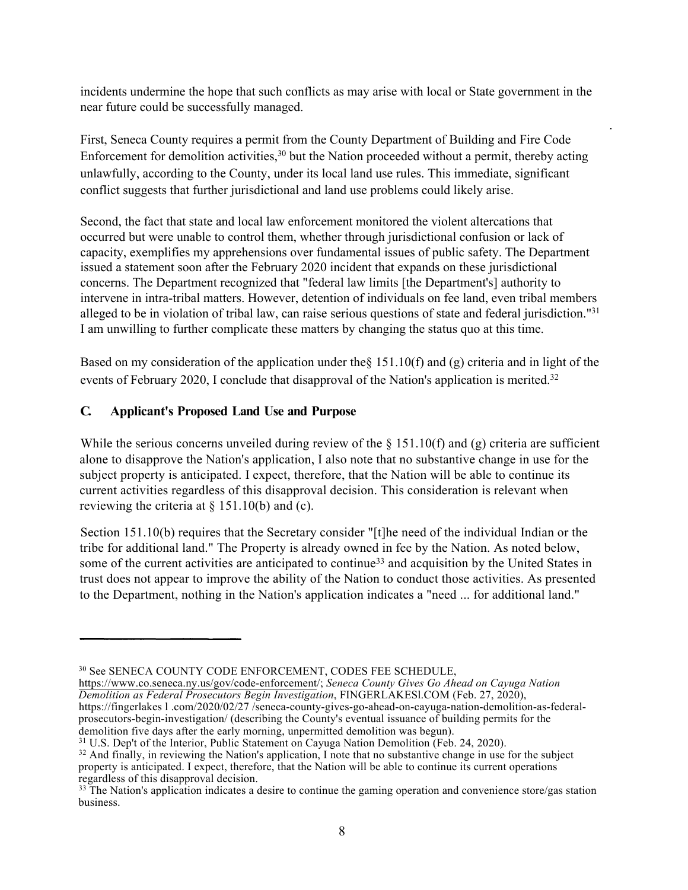incidents undermine the hope that such conflicts as may arise with local or State government in the near future could be successfully managed.

First, Seneca County requires a permit from the County Department of Building and Fire Code Enforcement for demolition activities, $30$  but the Nation proceeded without a permit, thereby acting unlawfully, according to the County, under its local land use rules. This immediate, significant conflict suggests that further jurisdictional and land use problems could likely arise.

Second, the fact that state and local law enforcement monitored the violent altercations that occurred but were unable to control them, whether through jurisdictional confusion or lack of capacity, exemplifies my apprehensions over fundamental issues of public safety. The Department issued a statement soon after the February 2020 incident that expands on these jurisdictional concerns. The Department recognized that "federal law limits [the Department's] authority to intervene in intra-tribal matters. However, detention of individuals on fee land, even tribal members alleged to be in violation of tribal law, can raise serious questions of state and federal jurisdiction."<sup>31</sup> I am unwilling to further complicate these matters by changing the status quo at this time.

Based on my consideration of the application under the§ 151.10(f) and (g) criteria and in light of the events of February 2020, I conclude that disapproval of the Nation's application is merited.<sup>32</sup>

### **C. Applicant's Proposed Land Use and Purpose**

While the serious concerns unveiled during review of the  $\S$  151.10(f) and (g) criteria are sufficient alone to disapprove the Nation's application, I also note that no substantive change in use for the subject property is anticipated. I expect, therefore, that the Nation will be able to continue its current activities regardless of this disapproval decision. This consideration is relevant when reviewing the criteria at  $\S$  151.10(b) and (c).

Section 151.10(b) requires that the Secretary consider "[t]he need of the individual Indian or the tribe for additional land." The Property is already owned in fee by the Nation. As noted below, some of the current activities are anticipated to continue<sup>33</sup> and acquisition by the United States in trust does not appear to improve the ability of the Nation to conduct those activities. As presented to the Department, nothing in the Nation's application indicates a "need ... for additional land."

https://www.co.seneca.ny.us/gov/code-enforcement/; *Seneca County Gives Go Ahead on Cayuga Nation Demolition as Federal Prosecutors Begin Investigation*, FINGERLAKESl.COM (Feb. 27, 2020), https://fingerlakes l .com/2020/02/27 /seneca-county-gives-go-ahead-on-cayuga-nation-demolition-as-federal-

prosecutors-begin-investigation/ (describing the County's eventual issuance of building permits for the demolition five days after the early morning, unpermitted demolition was begun).

<sup>30</sup> See SENECA COUNTY CODE ENFORCEMENT, CODES FEE SCHEDULE,

<sup>&</sup>lt;sup>31</sup> U.S. Dep't of the Interior, Public Statement on Cayuga Nation Demolition (Feb. 24, 2020).

<sup>&</sup>lt;sup>32</sup> And finally, in reviewing the Nation's application, I note that no substantive change in use for the subject property is anticipated. I expect, therefore, that the Nation will be able to continue its current operations regardless of this disapproval decision.

 $33$  The Nation's application indicates a desire to continue the gaming operation and convenience store/gas station business.